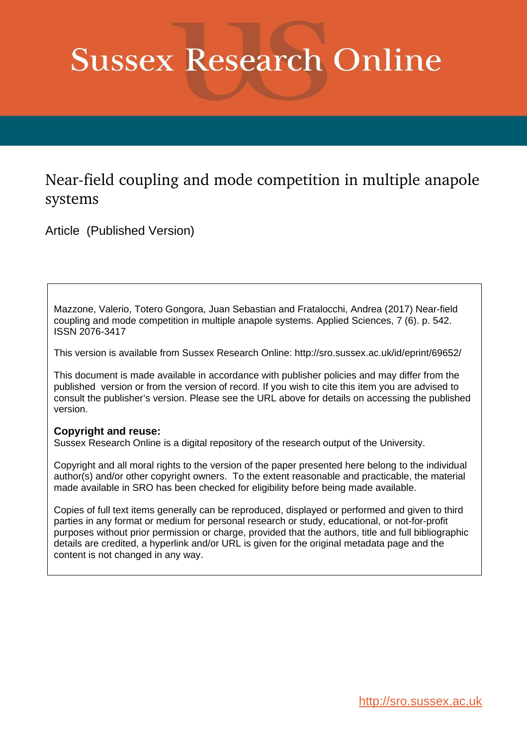## **Sussex Research Online**

## Near-field coupling and mode competition in multiple anapole systems

Article (Published Version)

Mazzone, Valerio, Totero Gongora, Juan Sebastian and Fratalocchi, Andrea (2017) Near-field coupling and mode competition in multiple anapole systems. Applied Sciences, 7 (6). p. 542. ISSN 2076-3417

This version is available from Sussex Research Online: http://sro.sussex.ac.uk/id/eprint/69652/

This document is made available in accordance with publisher policies and may differ from the published version or from the version of record. If you wish to cite this item you are advised to consult the publisher's version. Please see the URL above for details on accessing the published version.

## **Copyright and reuse:**

Sussex Research Online is a digital repository of the research output of the University.

Copyright and all moral rights to the version of the paper presented here belong to the individual author(s) and/or other copyright owners. To the extent reasonable and practicable, the material made available in SRO has been checked for eligibility before being made available.

Copies of full text items generally can be reproduced, displayed or performed and given to third parties in any format or medium for personal research or study, educational, or not-for-profit purposes without prior permission or charge, provided that the authors, title and full bibliographic details are credited, a hyperlink and/or URL is given for the original metadata page and the content is not changed in any way.